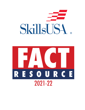

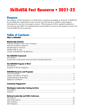# **SkillsUSA Fact Resource • 2021-22**

# **Purpose**

The purpose of this document is to help foster consistent messaging at all levels of SkillsUSA by providing the organization's most current and relevant facts, statistics and program information in one easy-to-navigate resource. This document will be regularly updated as necessary by the Office of Communications and should be viewed as the primary resource for current SkillsUSA facts and stats.

# **Table of Contents**

|--|--|

#### **Membership Statistics**

#### **The SkillsUSA Framework**

#### The SkillsUSA Program of Work

#### **SkillsUSA Resources and Programs**

### **Washington Leadership Training Institute**

### **National Leadership and Skills Conference**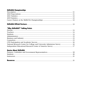# **SkillsUSA Championships**

# 

# "Why SkillsUSA?" Talking Points

| National Research Center for College and University Admissions Survey  16 |  |
|---------------------------------------------------------------------------|--|
|                                                                           |  |

# **Quotes About SkillsUSA**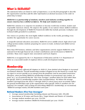# <span id="page-3-0"></span>What is SkillsUSA?

*The statements below are listed in order of importance, so use the first paragraph to describe the organization and then add the other information as deemed necessary in the order in which they're listed.*

#### *SkillsUSA is a partnership of students, teachers and industry working together to ensure America has a skilled workforce. We help each student excel.*

SkillsUSA's mission is to empower its members to become world-class workers, leaders and responsible American citizens. We improve the quality of our nation's future skilled workforce through the development of SkillsUSA Framework skills that include personal, workplace and technical skills grounded in academics.

Our vision is to produce the most highly skilled workforce in the world, providing every member the opportunity for career success.

A nonprofit national education association, SkillsUSA serves middle-school, high-school and college/postsecondary students preparing for careers in trade, technical and skilled service occupations.

More than 650 business, industry and labor organizations actively support SkillsUSA at the national level through financial aid, in-kind contributions and involvement in SkillsUSA activities. Many more support state associations and local chapters.

SkillsUSA is recognized by the U.S. Department of Education and the U.S. Department of Labor as a successful model of employer-driven youth development training.

# Membership

The global pandemic affected all chapters in 2020-21, from slashed school budgets to increased *recruitment obstacles. Overall membership numbers dropped across the board as a result, but we expect to recover quickly as we emerge from the pandemic and its associated restrictions. Therefore, when providing SkillsUSA membership numbers in promotional copy (online, in print, etc.), we recommend that the "Five-Year Averages" numbers below be used rather than the specific 2020-21 membership numbers (also included below). We believe the average numbers (averaged from the 2016-17 through 2020-21 school years) more accurately reflect the general membership scope of the organization when specific 2020-21 numbers are not required. For example, when writing text describing SkillsUSA's membership, we recommend, "SkillsUSA averages nearly 395,000 members each year."* 

#### National Numbers (Five-Year Averages)\*

- Average annual membership (including alumni and Honorary Life): 394,400.
- Associations in 50 states and Puerto Rico, Virgin Islands and District of Columbia.
- Average student members per year: 314,510.
- Average teacher members (SkillsUSA Professionals) per year: 19,019.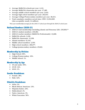- <span id="page-4-0"></span>• Average SkillsUSA schools per year: 4,121.
- Average SkillsUSA classrooms per year: 17,489.
- Average middle school members per year: 2,643.
- Average high school members per year: 292,651.
- Average College/Postsecondary members per year: 38,214.
- Total cumulative members served since 1965: 13,924,829. (also acceptable: nearly 14 million).

*\*Five-year membership averages for the 2016-17 school year through the 2020-21 school year.*

#### National Numbers (2020-21)

- 2020-21 total membership (including alumni and Honorary Life): 293,804.\*\*
- 2020-21 student members: 218,382.
- 2020-21 teacher members (SkillsUSA Professionals): 13,668.
- SkillsUSA schools: 3,240.
- SkillsUSA classrooms: 12,198.
- Alumni members: 61,541.
- Middle school members: 2,550.
- High school members: 206,677.
- College/postsecondary members: 25,823.

#### Membership by Division

- High School: 89%.
- College/Postsecondary: 10%.
- Middle School: 1%.

### Membership by Age

- 18 and under: 85%.
- 19-39: 14%.
- $40-64:1\%$ .

#### Gender Breakdown

- Female: 38%.
- Male: 62%.

#### Ethnicity Breakdown

- Asian:  $3\%$ .
- Black/African American: 13%.
- Hispanic/Latino: 23%.
- Multicultural: 2%.
- Native American: 3%.
- White/Caucasian: 56%.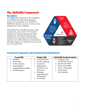# <span id="page-5-0"></span>The SkillsUSA Framework

# **Description**

The SkillsUSA Framework is the foundation for all SkillsUSA educational programs, resources and products. It is essential to SkillsUSA's mission, because it serves as the blueprint for career readiness.

The Framework is divided into three main components, and a total of 17 Essential Elements are divided among those three components. The Framework Essential Elements were developed with the direct input of over 1,000 employers and represent the skills employers consider the most crucial for a successful hire.



# Framework Components and Associated Essential Elements

| <b>Personal Skills</b>                                                                                                                                                             | <b>Workplace Skills</b>                                                                                                                                                                  | <b>Technical Skills Grounded in Academics</b>                                                                                                             |
|------------------------------------------------------------------------------------------------------------------------------------------------------------------------------------|------------------------------------------------------------------------------------------------------------------------------------------------------------------------------------------|-----------------------------------------------------------------------------------------------------------------------------------------------------------|
| Integrity.<br>Work Ethic.<br>$\bullet$<br>Professionalism.<br>$\bullet$<br>Responsibility.<br>$\bullet$<br>Adaptability/Flexibility.<br>$\bullet$<br>Self-Motivation.<br>$\bullet$ | Communication.<br>Decision Making.<br>Teamwork.<br>Multicultural<br>Sensitivity and<br>Awareness.<br>Planning,<br>$\bullet$<br>Organizing and<br>Management.<br>Leadership.<br>$\bullet$ | • Computer and<br>Technology Literacy.<br>Job-Specific Skills.<br>Safety and Health.<br>Service Orientation.<br>Professional<br>$\bullet$<br>Development. |
|                                                                                                                                                                                    |                                                                                                                                                                                          |                                                                                                                                                           |
|                                                                                                                                                                                    |                                                                                                                                                                                          |                                                                                                                                                           |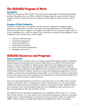# <span id="page-6-0"></span>The SkillsUSA Program of Work

#### **Description**

SkillsUSA's Program of Work (PoW) is the road map for planning and implementing chapter activities throughout the year. When a SkillsUSA chapter aligns its yearly activities with the Program of Work, students receive rich experiences that empower them to become career ready.

# Program of Work Categories

The PoW is divided into six categories, and the activities within these categories allow students the opportunity to practice and perform the Essential Elements of the SkillsUSA Framework and receive feedback to strengthen their skills. The six categories define areas of focus (committees) for a well-run chapter. Each committee has specific responsibilities, but all contribute to the overall success of the chapter.

- Advocacy and Marketing.
- Community Engagement.
- Financial Management.
- Leadership Development.
- Partner and Alumni Engagement.
- Workplace Experiences.

# SkillsUSA Resources and Programs

#### Career Essentials

The SkillsUSA Career Essentials suite is an online program that engages students in defining, implementing and measuring career-readiness skills along every point in their educational journey. Courses are available for middle-school, high-school and college/postsecondary students as well as adult learners. The SkillsUSA Career Essentials Credential is obtained through successful completion of the SkillsUSA Career Essentials suite. Successful completion of the program indicates students' proficiency in the understanding and application of careerreadiness competencies and demonstrates their ability to successfully contribute to their place of work. The program also offers instructors the opportunity for professional development by becoming a Career Essentials certified instructor.

The Career Essentials program is backed by an investment of over \$1 million from corporate America. Endorsed by the U.S. Departments of Labor and Education, it is one of the largest collaborative public-private partnerships in workforce development history. SkillsUSA based the curriculum on key career-readiness skills that were identified as most needed for new hires through gathered data and scientific research.

The SkillsUSA Career Essentials Credential has been validated by 3M, Toyota U.S.A., Toyota Motor North America, U.S. Coast Guard, Volvo Construction Equipment, Alabama Community College System, National Institute for Automotive Service Excellence (ASE), CareerSafe LLC, CBRE, Centuri, Coalition on Adult Basic Education (COABE), IAA, Kreg Tools, Magna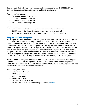<span id="page-7-0"></span>International, National Center for Construction Education and Research (NCCER), North Carolina Department of Public Instruction and Spirit AeroSystems.

Career Essentials Course Breakdown:

- Exploratory Course (ages 12-14).
- Fundamental Course (ages 14-16).
- Advanced Course (ages 17-19).
- Adult Learner Course (ages 20+).

Career Essentials Stats:

- Career Essentials has been adopted for use by schools from 42 states.
- 26,097 units of the Career Essentials courses have been completed.
- There are 298 Career Essentials certified instructors in the United States.

# Chapter Excellence Program

The Chapter Excellence Program (CEP) recognizes achievement as it relates to the integration of the SkillsUSA Framework in chapter Program of Work activities. Every chapter is encouraged to participate in the CEP, and there are three award levels to recognize program involvement. The first level honors chapters for achieving essential standards of excellence as a Quality Chapter. The second level recognizes chapters that go beyond baseline requirements with bronze, silver and gold Chapters of Distinction awards. Chapters in each state receiving the gold award are eligible for the third level: selection as a national "Models of Excellence" chapter. Best practices are gleaned from the national award winners and shared with the field to serve as models for other chapters to emulate in strengthening their local programs.

The CEP annually recognizes the top 24 SkillsUSA schools as Models of Excellence chapters, eight for each of the three components of the SkillsUSA Framework. From each group of eight, one school is chosen as the top winner for Personal Skills, one for Workplace Skills and one for Technical Skills Grounded in Academics.

2020-21 CEP Recognized Chapters

- 59 Gold-level chapters.
- 27 Silver chapters.
- 23 Bronze chapters.
- 248 Quality chapters.
- 357 Total chapters awarded.
- For the 2020-21 Models of Excellence top 24 schools, [click here](https://www.skillsusa.org/24-skillsusa-schools-named-national-models-of-excellence-3/).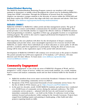# <span id="page-8-0"></span>Student2Student Mentoring

The SkillsUSA Student2Student Mentoring Program connects our members with younger students in elementary or middle school throughout the school year by facilitating SkillsUSA's "Jump Into STEM!" curriculum. Through the facilitation of lessons from the curriculum, chapters can introduce younger students to the diversity of careers within the STEM field and help them explore the STEM careers that align with their own interests and talents. Click here for details. *www.skillsusa.org/programs/mentoring-student2student/.* 

### SkillsUSA CONNECT

SkillsUSA CONNECT is SkillsUSA's online portal and data management system. The goal of this project is to connect and facilitate communication for members and stakeholders. The portal provides a user-friendly interface to support the effective delivery of SkillsUSA missioncritical programming to members, regardless of their age, geographic location or occupational training program. The portal is also used to support professional development for teachers and state SkillsUSA directors.

Most important, this new platform will allow for the development of deeper community relationships and provide richer, more meaningful experiences for everyone involved with SkillsUSA, no matter where these individuals are in their education or career paths. It will also provide a seamless path from registration to participation. During the 2021-22 school year, testing will be done on the registration aspect of the portal with selected states.

Development of SkillsUSA CONNECT will continue over several years as the project is funded. The portal currently has 6,918 users registered: 3,772 students, 1,377 advisors, 104 state directors and 164 state officers. To learn more: *www.skillsusa.org/membershipresources/skillsusa-connect/.*

# Community Engagement

"Community Engagement" is one of the six areas of SkillsUSA's Program of Work, and it's designed to "create a heart of service" within our career-ready students. As a result, students learn to assess and analyze community needs and use their technical skills for the benefit of others.

- SkillsUSA members from seven states received the President's Volunteer Service Award (PVSA) for outstanding community service in 2020-21.
- Recipients of the PVSA represented thousands of total community service hours. For the list of 2020-21 PVSA winners, go to: *https://tinyurl.com/PVSA-SkillsUSA*.
- In the past two decades, nearly 10,000 SkillsUSA students and advisors have conducted over 30,000 hours of community service during the national conference. The NLSC community service projects — planned with the host city and focused on meeting immediate community needs — are held on the Friday of conference week to keep students focused and productive while waiting for the Awards Ceremony. Projects have ranged from building repairs and painting to landscaping, a bike build and other projects requiring hands-on skills.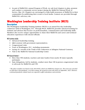<span id="page-9-0"></span>• As part of SkillsUSA's annual Program of Work, we ask local chapters to plan, promote and conduct a community service project during the SkillsUSA National Week of Service, May 2-8. Chapters are encouraged to help build awareness of SkillsUSA in their communities by publicizing their events to local media. Contacts are provided through SkillsUSA's advocacy site.

# Washington Leadership Training Institute (WLTI)

### **Description**

The Washington Leadership Training Institute (WLTI) is an annual five-day leadership conference held in Washington, D.C. Through WLTI, SkillsUSA provides advanced training for students and advisors that focuses on professionalism, communication and leadership skills. Members also receive unique opportunities to share their SkillsUSA and career and technical education experiences with elected officials.

WLTI activities include:

- Advanced leadership training.
- Q&A sessions with government representatives.
- Congressional visits.
- Tours of Washington, D.C., including monuments.
- Laying of a wreath at the Tomb of the Unknowns at Arlington National Cemetery.
- Visit to the SkillsUSA National Leadership Center.

WITI General Statistics\*:

- More than 550 students, teachers and state leaders from nearly 30 states typically participate.
- State delegations, led by students, conduct more than 130 in-person congressional visits to advocate for SkillsUSA and CTE.

*\* The above numbers are based on the 2019 WLTI, which was SkillsUSA's largest ever. The event was canceled in 2020 due to the pandemic. As of this writing, the in-person event will return in September, 2021. However, continued pandemic-related issues are expected to affect attendance and activities.*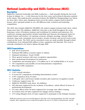# <span id="page-10-0"></span>National Leadership and Skills Conference (NLSC)

#### **Description**

SkillsUSA's National Leadership and Skills Conference — held annually during the last week in June in Atlanta, Ga. — is the showcase for the best career and technical education students in the nation. This multi-faceted convention features the SkillsUSA Championships (see below for more info), where state champions from across the nation compete head-to-head for bronze, silver and gold medals in over 100 different trade, technical and leadership competitions.

The NLSC also includes SkillsUSA TECHSPO, the nation's largest technical trade show, which boasts more than 150 exhibitors. SkillsUSA University is also held throughout the week, featuring a series of breakout seminars and workshops for students and instructors. Preconference training opportunities include leadership and character development tracks for student leaders and teachers. An opening ceremony, delegate meetings, national officer elections, large-scale community service project, awards ceremony and several social events round out the week. The NLSC and its associated events are made possible through in-kind contributions of an estimated \$36 million in time, equipment and materials. The event is currently scheduled to be held in Atlanta through 2026.

# 2022 Expectations

- June 20-24 (in-person).
- Estimated \$28 million economic impact to Atlanta.
- Estimated attendance: Nearly 18,000.
- Three general sessions with more recognition opportunities.
- More professional development for instructors.
- Competition and meeting space: 1.79 million sq. ft. (31 football fields or 41 acres).
- 107 competitions and possibly several demonstration competitions.
- More than 6,500 competitors.

# 2021 Statistics

- 5,431 (virtual) attendees.
- A record 107 competitions (including demonstration events).
- 3,707 competitors from 45 states.
- 1,100 gold, silver and bronze medals awarded, plus numerous recognition awards.
- Conference support team: 30.
- SkillsUSA TECHSPO trade show: 40 exhibitors.
- 265 educators registered for the Academy of Excellence, which offered 43 hours of professional development.
- 151 state officers from 30 states registered for Leverage state officer training.
- 61 teachers from 20 states registered for Engage advisor training.
- 273 voting delegates from 43 states registered to participate in the Delegate Sessions.

*\*While the in-person event was canceled again in 2021 due to the ongoing pandemic, the NLSC was held virtually. State competitions were conducted throughout the year in a virtual or hybrid format, and the*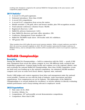<span id="page-11-0"></span>*resulting state champions competed at the national SkillsUSA Championships in the same manner, with competitions judged virtually.*

### 2019 Statistics\*

- A record 11,136 paid registrants.
- Estimated attendance: More than 19,000
- A record 104 competitions.
- A record 6,417 competitors from across the nation.
- Medals awarded: 1,150 gold, silver and bronze medals, plus 550 recognition awards.
- Total national conference volunteer hours: 58,840.
- Registered observers: 1,329.
- SkillsUSA advisors (instructors): 3,011.
- State SkillsUSA directors and state office attendees: 258.
- Conference Management Team members: 80.
- SkillsUSA TECHSPO trade show: 150 booths with 341 exhibitors.
- VIP guests: 950.

*\*These numbers from 2019 reflect the most recent in-person statistics. While a virtual conference was held in 2021, the event was canceled completely in 2020. The 2019 numbers represented the largest conference in SkillsUSA history, and we anticipate these numbers will be exceeded with a return to an in-person conference in 2022.* 

# SkillsUSA Championships

#### **Description**

During the SkillsUSA Championships — held in conjunction with the NLSC — nearly 6,500 state champions from across the nation compete in over 100 different trade, technical and leadership competitions. Contests begin locally and continue on to the regional, district, state and eventually the national SkillsUSA Championships. More than 10,000 competitive events are held each year leading up to the national competition. An estimated 240,000 members compete each year on some level (local, district, regional, state, national).

Nearly 2,000 judges and contest organizers from labor and management make the national event possible. Contests are run with the help of industry, trade associations and labor organizations. Test competencies are set by industry. The philosophy of the SkillsUSA Championships is to reward students for excellence, to involve industry in directly evaluating student performance and to keep training relevant to employers' needs.

#### 2022 Expectations

- Date: June 22-23, 2022.
- Location: Atlanta, Ga.
- Competitions: 107 and possibly several demonstration competitions.
- Competitors: More than 6,500.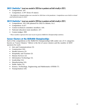### <span id="page-12-0"></span>2021 Statistics\* (event was canceled in 2020 due to pandemic and held virtually in 2021)

- Competitions: 107.
- Competitors: 3,707 (from 45 states).

*\* The SkillsUSA Championships was canceled in 2020 due to the pandemic. Competitions were held in virtual and hybrid formats in 2021.*

2019 Statistics<sup>\*</sup> (event was canceled in 2020 due to pandemic and held virtually in 2021)

- Competitions: 103 (106 planned for 2022 in Atlanta, Ga.).
- Competitors: 6,417.
- Contest technical committee members: 410.
- National education team members: 217.
- Contest judges: 909.

*\* These numbers represent the most recent in-person SkillsUSA Championships statistics.*

# Career Clusters at the SkillsUSA Championships

Each of the competitions at the SkillsUSA Championships falls under one of 11 categories known as "Career Clusters." Below is the list of career clusters and the number of 2019 sponsors for each:

- Arts and Communications (3).
- Construction (16).
- Health Sciences (3).
- Hospitality and Tourism (3).
- Human Services (2).
- Information Technology (4).
- Leadership (14).
- Manufacturing (16).
- Public Safety (2).
- Science, Technology, Engineering and Mathematics (STEM) (7).
- Transportation (10).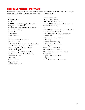# <span id="page-13-0"></span>SkillsUSA Official Partners

The following organizations have made financial contributions of at least \$25,000 and/or documented in-kind contributions of at least \$75,000 since 2020.

3M 84 Lumber Co. Aerotek AHRI (Air-Conditioning, Heating, and Refrigeration Institute) ASE (National Institute for Automotive Service Excellence) CareerSafe Carhartt Inc. Caterpillar Inc. CBRE Centuri Construction Group Channellock Inc. DCA (Distribution Contractors Association) Fine Homebuilding/Tauton Press Harbor Freight Tools for Schools The Home Depot Huntington Ingalls Industries Inc. IAA Inc. (Insurance Auto Auctions) Invitation Homes John Deere Klein Tools Inc. Kreg Tool Co. Lincoln Electric Co.

Lowe's Companies Magna International Miller Electric Mfg. Co. LLC NASSCO (National Association of Sewer Service Companies) NC3 NCCER (National Center for Construction Education and Research) NRCA (National Roofing Contractors Association) Nissan Motor Corp. in USA Pella Corp. Penske Truck Leasing Robert Bosch Tool Corp. Ryder System Inc. Snap-on Incorporated Stanley Black & Decker State Farm Insurance Companies Swinerton Toyota USA Foundation Viega LLC Volvo Construction Equipment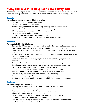# <span id="page-14-0"></span>"Why SkillsUSA?" Talking Points and Survey Data

The following topic points can be raised for the listed audience when promoting the value of SkillsUSA. Survey data related to SkillsUSA involvement follows the list of talking points.

#### **Parents**

Why would a parent want their child involved in SkillsUSA? Their child can:

- Participate in meaningful career exploration.
- Be part of a high-quality peer group.
- Take advantage of internship, mentorship and employment opportunities.
- Learn useful skills to be self-sufficient and self-supporting.
- Discover opportunities for scholarships, grants or prizes.
- Avoid unnecessary student loan debt.
- Become a more highly engaged student and citizen.
- Make education and career choices that are validated by industry.

#### **Teachers**

Why should a teacher join SkillsUSA? Teachers can:

- Connect the CTE program to industry professionals who represent in-demand careers.
- Document career readiness in students who graduate from CTE programs.
- Utilize SkillsUSA classroom management resources, enabling the teacher to focus on teaching.
- Engage students in their learning with hands-on instruction and skill application in the classroom and chapter.
- Keep students in school by engaging them in learning and bringing relevancy to content.
- Motivate all students to reach their potential and measure student growth.
- Provide practical tools and assessments to ensure every student is career ready.
- Save time by using turnkey SkillsUSA educational resources.
- Receive administrator/community support for their training program.
- Earn state and national recognition and chapter or CTE program grants.
- Participate in professional development and peer networking.
- Connect with program graduates/alumni for program support.
- Use intentional strategy/guided instruction in SkillsUSA Framework integration.

### **Students**

Why should a student join SkillsUSA? Students can:

- Develop career-readiness skills demanded by business and industry.
- Participate in and learn to lead experiences ideal to share on résumé.
- Explore career options and develop a customized future career path.
- Obtain scholarships and work opportunities.
- Network with peers, teachers, mentors and industry representatives.
- Achieve a sense of accomplishment and belonging.
- Participate in leadership development including teamwork and communications.
- Practice hands-on application of skills.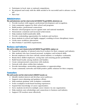- <span id="page-15-0"></span>• Participate in local, state or national competitions.
- Be prepared and ready with the skills needed to be successful and to advance on the job.
- Have fun!

# Administrators

Why would administrators want their schools involved with SkillsUSA? Through SkillsUSA, administrators can:

- Provide teachers with support, professional development and recognition.
- Gain community support for their school and programs.
- Build positive, professional connections.
- Measure school/program success against state and national standards.
- Demonstrate consistent and increased achievement.
- Help students build transferable skills.
- Provide credentialing opportunities for students and teachers.
- Keep students in school and highly engaged, resulting in fewer disciplinary issues.
- Create more workforce placements.
- Meet Perkins V and ESSA requirements.

# Business and Industry

Why would an employer want to become involved with SkillsUSA? Through SkillsUSA, employers can:

- Expand the pipeline of talented entry-level workers for their company and industry.
- Hire students who have learned personal, workplace and technical skills.
- Recruit employees who have already earned industry or workplace credentials.
- Retain these skilled employees, saving time and ensuring greater profitability.
- Build brand loyalty among students and families.
- Create entrepreneurial connections with students.
- Network with others within their industry.
- Provide internships, mentorship opportunities or apprenticeships.
- Create community networks and build positive public relations for their company.

# Counselors

Why would counselors want their schools involved in SkillsUSA? Counselors can:

- Identify student interest and develop career pathways.
- Support career planning and guidance efforts.
- Help students graduate with workplace credentials.
- Foster workplace/work-based learning experiences.
- Expand their knowledge of career opportunities.
- Serve students involved in multiple career clusters via one organization.
- Help students earn scholarships and connections to business and industry.
- Support CTE teachers more effectively.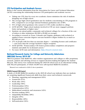# <span id="page-16-0"></span>CTE Participation and Academic Success

Below is the current information from the Association for Career and Technical Education (ACTE) concerning the relationship between CTE participation and academic success.

- Taking one CTE class for every two academic classes minimizes the risk of students dropping out of high school.
- The average high school graduation rate for students concentrating in CTE programs is 93%, compared to an average national freshman graduation rate of 80%.
- 91% of high school graduates who earned 2-3 CTE credits enrolled in college.
- ACTE QUOTE: "High school students involved in CTE are more engaged, perform better and graduate at higher rates."
- Students can attend public community and technical colleges for a fraction of the cost of tuition at other institutions (\$3,500 to \$5,000 on average).
- According to research in Texas, Colorado and Virginia, graduates with technical or applied science associate degrees out-earn bachelor's degree holders by as much as \$11,000 per year.
- 27% of people with less than an associate degree including licenses and certificates — earn more than the average bachelor's degree recipient.
- ACTE QUOTE: "Postsecondary CTE fosters postsecondary completion and prepares students and adults for in-demand careers."
- For more ACTE stats and information: *https://tinyurl.com/acte-stats*.

# National Research Center for College and University Admissions (NRCCUA) Survey 2019-20\*

NRCCUA partners with SkillsUSA, other student organizations and colleges to offer proprietary research, analysis and advising services to support decision-making throughout the student lifecycle. This survey was conducted during the 2019-20 school year in an educational setting with 502,244 participants, of which 18,300 were self-reported SkillsUSA members.

*\*Research not conducted in 2020-21 due to pandemic.*

#### SkillsUSA Framework Skills Acquired

A study of 18,300 SkillsUSA members in the 2019-20 school year indicates that our students are acquiring significant Framework skills from their career and technical coursework:

- Planning, organizing and management (62%).
- Teamwork (57%).
- Work ethic (55%).
- Leadership (50%).
- Professionalism (45%).
- Communication (45%).
- Multicultural sensitivity and awareness (42%).
- Decision making (39%).
- Adaptability/flexibility (38%).
- Integrity (35%).
- Responsibility (20%).
- Self-motivation (16%).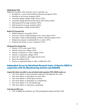#### <span id="page-17-0"></span>SkillsUSA Member Profile

SkillsUSA members who took the survey said they are:

- Enrolled in a career and technical education program (70%).
- Enrolled in an honors program (28%).
- Currently taking college-credit classes (23%).
- Currently taking Advanced Placement (AP) classes (20%).
- Self-reported B-average students (49%).
- Self-reported A-average students (36%).
- First-generation college-bound (60%).

#### Benefits of CTE Coursework Cited

- Helped improve my grades (54%).
- Gave me a better understanding of my career plans (57%).
- Provided a better understanding of future education plans (41%).
- Helped me prepare academically for a career (37%).
- Fostered my desire to own a business (17%).

#### Self-Reported Future Education Plans

- Pursue a CTE career path (52%).
- Attend a four-year college (44%).
- Attend a technical or career college (15%).
- Attend a community college (15%).
- Enter the workforce after high school (11%).
- Enter the military (6%).
- Pursue an apprenticeship or other certification (4%).

# Independent Survey by Educational Research Center of America (ERCA) in cooperation with the Manufacturing Institute and SkillsUSA

Compared with students not enrolled in a career and technical student organization (CTSO), SkillsUSA members are:

- 25% more likely to meet potential employers through job site visits.
- 24% more likely to participate in career fairs.
- 43% more likely to attend guest lectures.
- 31% more likely to participate in competitions.
- 31% more likely to try job shadowing.
- 10% more likely to experience mentoring.

#### Further data from ERCA survey:

• 70% of SkillsUSA members say CTE participation improved their GPA.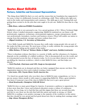# <span id="page-18-0"></span>Quotes About SkillsUSA

### Partners, Celebrities and Government Representatives

"The thing about SkillsUSA that's so cool, and the reason that my foundation has supported it for years, is that it is deliberately focused on celebrating a skill. Three million jobs right now exist in the trades and transportation and commerce. The skills gap is real. Training kids and getting them excited to do the jobs that exist ought to be job one. SkillsUSA does that in a big way."

#### *—Mike Rowe, mikeroweWORKS Foundation*

"SkillsUSA's work is very personal to me. I'm a proud graduate of H.C. Wilcox Technical High School, where I studied automotive engineering. [SkillsUSA students] are our future craft professionals, engineers, technicians, environmental engineers, energy entrepreneurs, health care professionals, lawmakers, teachers and business owners. [They] will enable our nation to emerge from this pandemic stronger and more resilient than ever."

#### *— Miguel Cardona, U.S. Secretary of Education*

"I love Skills Canada and SkillsUSA, because they really make young people who are part of the trades feel like rock stars. We need more of that, to really celebrate the young people who are dedicated to taking up the mantel of the trades."

#### *— Mike Holmes, TV host of "Holmes Makes it Right" and more, builder/contractor*

"There is abundant evidence that there is a scarcity of skills, and the robustness of a business depends on the availability of a skilled workforce. This is documented all over the world, and it is documented across the face of America today. So it's in your direct interest to invest in up-skilling the American workforce, which is what SkillsUSA does, and that helps you directly."

#### *— Nick Pinchuk, Chairman and CEO, Snap-on Incorporated*

"SkillsUSA students are in demand and they are better equipped than anyone out there. This organization improves lives and is indeed creating a better world."

#### *— Jim Lentz, CEO, Toyota Motor North America Inc.*

"I've hired two people lately who won their class in SkillsUSA state competitions, so I try to put my money where mouth is with respect to supporting SkillsUSA. What a great initiative. You know if someone's top of the class in SkillsUSA that you've got a great person." *— Brad Keselowski, Champion NASCAR Driver* 

"SkillsUSA does so many great things for America. It promotes a pathway to opportunity, but it does more than that. Career and technical education creates a culture of continuous learning. For too long, we've had this bias and this stigma that these are second-class jobs, and they're not; these are the jobs that built this nation and made us strong, so I think SkillsUSA is sending a very positive message to the majority of the workforce in this nation that they should be very proud and feel good about how they're making their earnings today." *— Rep. Glenn Thompson (R-Pa.)*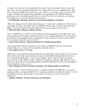"It costs a lot of money to hire somebody into a job. There's investment, there's time, and then when you don't get the productivity out of them, they leave your organization or they don't possess the skills that you need. It's very costly to you, because you've lost time and money working with that particular individual. So organizations like SkillsUSA that are producing some real quality people that are at entry level that can come into our industry, that really saves us a lot of time and a lot of money."

#### *— Fred Murphy, Manager of Service Training Development, Cummins*

"When I'm sitting across the table interviewing you, I want some confidence in who you are, what skills you have, and what I know is, SkillsUSA teaches that. It teaches that pride and dignity at work. It teaches that self-confidence that you're going to have to have." *— John Hinesley, Director of Sales, Meritor*

"We see SkillsUSA as a vehicle to raise the bar in training programs at the high school and postsecondary level to make certain that instructors are teaching skills that are in demand in our industry with equipment that's comparable to what people are going to need to know how to operate when they get on the job."

#### — *James Wall, Director, National Institute for Metalworking Skills*

"If you spend time with the young men and women in SkillsUSA and you see just how talented they are, you become very optimistic about the future." *— Gen. Jeffrey Snow, U.S. Army*

"SkillsUSA is very important in developing the next generation of the workforce. It is because they're able to develop a total student, not just one with skilled training but one that has a level of professionalism that can go into any industry. That's what sets them apart from everyone else. It's the ability to take a student, to train them with the skills that they need, and to give them the level of professionalism, the polish, that they'll need to be successful in whatever industry they go on to."

#### *— Kaye Morgan-Curtis, Principal Consultant, the Changemakers Commission*

"Listen; if you're a sponsor and you want to consider working with SkillsUSA, you need to understand this is a long-term ROI. We're convincing students to consider the trades. So we're providing for you the opportunity for your future consumers as well as your future employees."

#### *— Kayleen McCabe, TV host, Contractor and Marketer*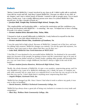# <span id="page-20-0"></span>**Students**

"Before I joined SkillsUSA, I wasn't involved in my class at all. I didn't really talk to anybody. I just did my work and left. And then I joined SkillsUSA, I became an officer in my club, in my chapter, and I met a whole bunch of friends. I started to talk to people more. I'm so much more a leader now. I am a totally different person now since I've joined SkillsUSA. I like myself now. It's like a breath of fresh air."

*— Jocelyn Hall, Temple Bay Technical High School, Tampa, Fla.*

"The employability and leadership skills — and just the motivation and the confidence you get from involvement with SkillsUSA — is amazing," she says. "It helped me to have a feeling of worth. It is where I started."

*— Former student Brice Harader-Pate, Tulsa, Okla.*

"I learned to look at myself differently in SkillsUSA. I truly believed in myself for the first time, because I saw that others believed in me."

*— Former student Paravi Das, Academies of Loudoun, Va.*

"I was the quiet kid in high school. Because of SkillsUSA, I jumped out of the box, and now I'm talking with senators. SkillsUSA changes you entirely. I'm not the quiet kid anymore, I'm out there, and I just want to show others that they can do that, too."

*— Luke Stell, SkillsUSA New York historian at WLTI 2019*

"I feel like if I was destined to be successful before SkillsUSA, I'm destined to be successful times two because of the people I'm getting to know and the connections I get to be part of. SkillsUSA helps me define myself as a better leader, guiding other people and knowing that, yes, you can come from a rough childhood, but there's always a light at the end of the tunnel."

*— Former student Jessica Ramirez, McGavock High School, Tenn.*

"Really, the whole dynamic of SkillsUSA, it's just a very positive, empowering group, and I'm very thankful to be a part of it. SkillsUSA challenges you, I think, far more, to compete not only with yourself, but at a state level, at a national level, to see how far you can go to be the best that you can be. I don't think there's anything more empowering than that." *— Angela Philpot, Gwinnett Tech, Ga.* 

"SkillsUSA has changed my life. Once I knew I had what it took to achieve my goals, it was easy to dive in headfirst."

*— David Sonnier, SOWELA Technical Community College, La.*

"SkillsUSA has always done a great job of being very inclusive to women in every trade and competition."

*— Maci Key, Wallace State Community College, Ala.*